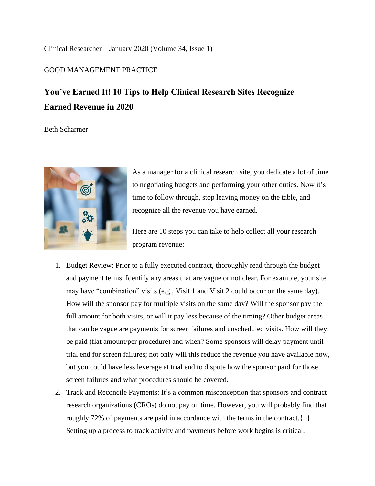## [Clinical Researcher—January 2020](https://acrpnet.org/clinical-researcher-january-2020/) (Volume 34, Issue 1)

## GOOD MANAGEMENT PRACTICE

## **You've Earned It! 10 Tips to Help Clinical Research Sites Recognize Earned Revenue in 2020**

Beth Scharmer



As a manager for a clinical research site, you dedicate a lot of time to negotiating budgets and performing your other duties. Now it's time to follow through, stop leaving money on the table, and recognize all the revenue you have earned.

Here are 10 steps you can take to help collect all your research program revenue:

- 1. Budget Review: Prior to a fully executed contract, thoroughly read through the budget and payment terms. Identify any areas that are vague or not clear. For example, your site may have "combination" visits (e.g., Visit 1 and Visit 2 could occur on the same day). How will the sponsor pay for multiple visits on the same day? Will the sponsor pay the full amount for both visits, or will it pay less because of the timing? Other budget areas that can be vague are payments for screen failures and unscheduled visits. How will they be paid (flat amount/per procedure) and when? Some sponsors will delay payment until trial end for screen failures; not only will this reduce the revenue you have available now, but you could have less leverage at trial end to dispute how the sponsor paid for those screen failures and what procedures should be covered.
- 2. Track and Reconcile Payments: It's a common misconception that sponsors and contract research organizations (CROs) do not pay on time. However, you will probably find that roughly 72% of payments are paid in accordance with the terms in the contract.{1} Setting up a process to track activity and payments before work begins is critical.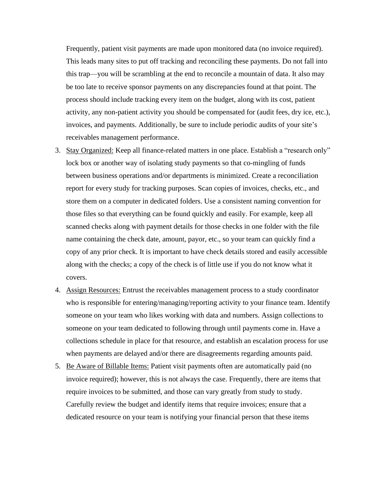Frequently, patient visit payments are made upon monitored data (no invoice required). This leads many sites to put off tracking and reconciling these payments. Do not fall into this trap—you will be scrambling at the end to reconcile a mountain of data. It also may be too late to receive sponsor payments on any discrepancies found at that point. The process should include tracking every item on the budget, along with its cost, patient activity, any non-patient activity you should be compensated for (audit fees, dry ice, etc.), invoices, and payments. Additionally, be sure to include periodic audits of your site's receivables management performance.

- 3. Stay Organized: Keep all finance-related matters in one place. Establish a "research only" lock box or another way of isolating study payments so that co-mingling of funds between business operations and/or departments is minimized. Create a reconciliation report for every study for tracking purposes. Scan copies of invoices, checks, etc., and store them on a computer in dedicated folders. Use a consistent naming convention for those files so that everything can be found quickly and easily. For example, keep all scanned checks along with payment details for those checks in one folder with the file name containing the check date, amount, payor, etc., so your team can quickly find a copy of any prior check. It is important to have check details stored and easily accessible along with the checks; a copy of the check is of little use if you do not know what it covers.
- 4. Assign Resources: Entrust the receivables management process to a study coordinator who is responsible for entering/managing/reporting activity to your finance team. Identify someone on your team who likes working with data and numbers. Assign collections to someone on your team dedicated to following through until payments come in. Have a collections schedule in place for that resource, and establish an escalation process for use when payments are delayed and/or there are disagreements regarding amounts paid.
- 5. Be Aware of Billable Items: Patient visit payments often are automatically paid (no invoice required); however, this is not always the case. Frequently, there are items that require invoices to be submitted, and those can vary greatly from study to study. Carefully review the budget and identify items that require invoices; ensure that a dedicated resource on your team is notifying your financial person that these items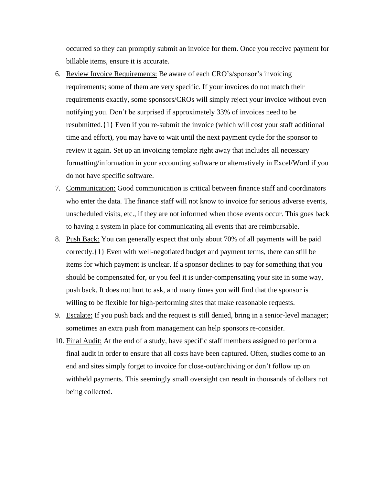occurred so they can promptly submit an invoice for them. Once you receive payment for billable items, ensure it is accurate.

- 6. Review Invoice Requirements: Be aware of each CRO's/sponsor's invoicing requirements; some of them are very specific. If your invoices do not match their requirements exactly, some sponsors/CROs will simply reject your invoice without even notifying you. Don't be surprised if approximately 33% of invoices need to be resubmitted.{1} Even if you re-submit the invoice (which will cost your staff additional time and effort), you may have to wait until the next payment cycle for the sponsor to review it again. Set up an invoicing template right away that includes all necessary formatting/information in your accounting software or alternatively in Excel/Word if you do not have specific software.
- 7. Communication: Good communication is critical between finance staff and coordinators who enter the data. The finance staff will not know to invoice for serious adverse events, unscheduled visits, etc., if they are not informed when those events occur. This goes back to having a system in place for communicating all events that are reimbursable.
- 8. Push Back: You can generally expect that only about 70% of all payments will be paid correctly.{1} Even with well-negotiated budget and payment terms, there can still be items for which payment is unclear. If a sponsor declines to pay for something that you should be compensated for, or you feel it is under-compensating your site in some way, push back. It does not hurt to ask, and many times you will find that the sponsor is willing to be flexible for high-performing sites that make reasonable requests.
- 9. Escalate: If you push back and the request is still denied, bring in a senior-level manager; sometimes an extra push from management can help sponsors re-consider.
- 10. Final Audit: At the end of a study, have specific staff members assigned to perform a final audit in order to ensure that all costs have been captured. Often, studies come to an end and sites simply forget to invoice for close-out/archiving or don't follow up on withheld payments. This seemingly small oversight can result in thousands of dollars not being collected.